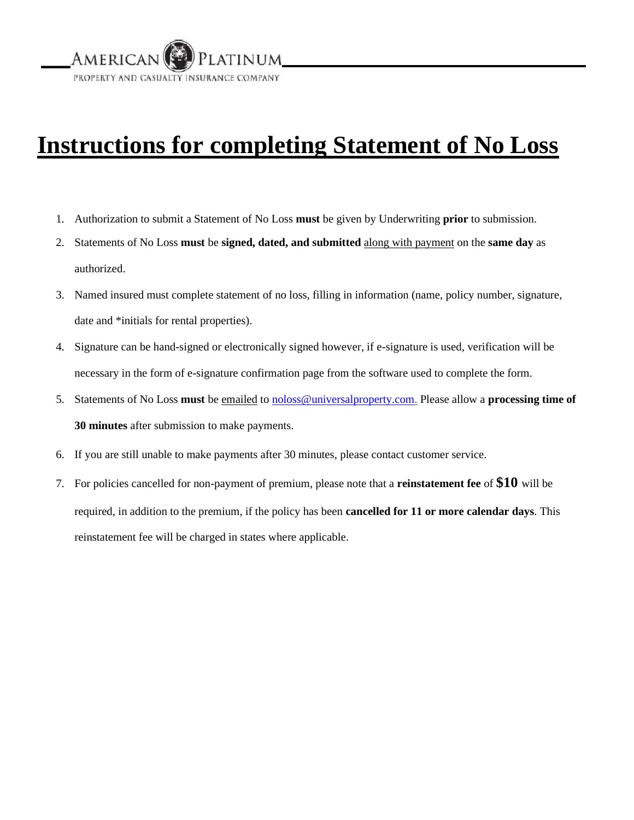

## **Instructions for completing Statement of No Loss**

- 1. Authorization to submit a Statement of No Loss **must** be given by Underwriting **prior** to submission.
- 2. Statements of No Loss **must** be **signed, dated, and submitted** along with payment on the **same day** as authorized.
- 3. Named insured must complete statement of no loss, filling in information (name, policy number, signature, date and \*initials for rental properties).
- 4. Signature can be hand-signed or electronically signed however, if e-signature is used, verification will be necessary in the form of e-signature confirmation page from the software used to complete the form.
- 5. Statements of No Loss **must** be emailed [to](mailto:to_noloss@universalproperty.com) noloss@universalproperty.com. Please allow a **processing time of 30 minutes** after submission to make payments.
- 6. If you are still unable to make payments after 30 minutes, please contact customer service.
- 7. For policies cancelled for non-payment of premium, please note that a **reinstatement fee** of **\$10** will be required, in addition to the premium, if the policy has been **cancelled for 11 or more calendar days**. This reinstatement fee will be charged in states where applicable.